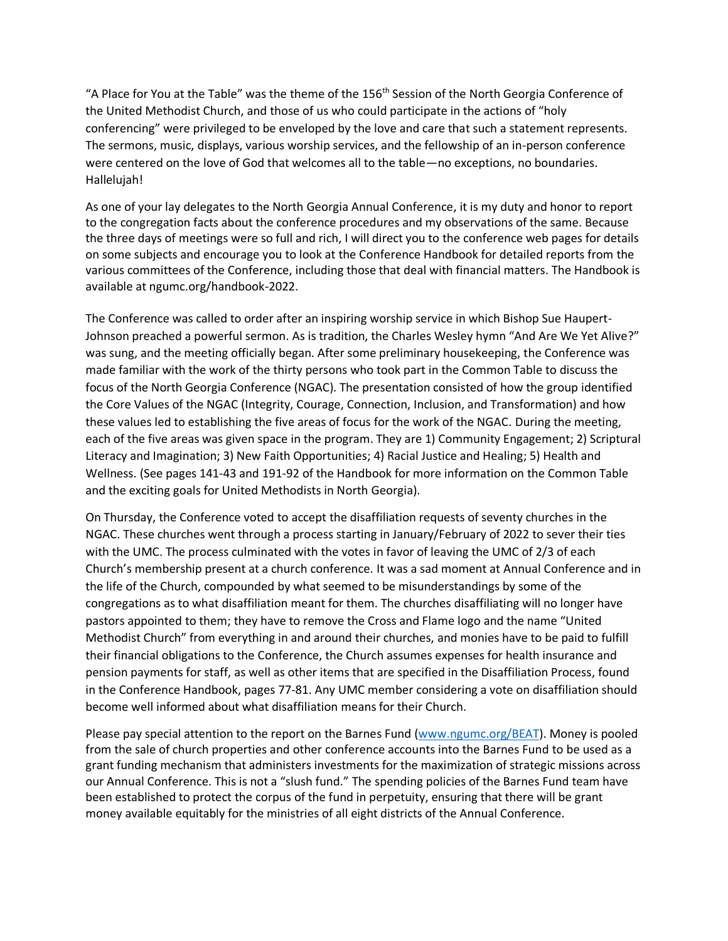"A Place for You at the Table" was the theme of the 156<sup>th</sup> Session of the North Georgia Conference of the United Methodist Church, and those of us who could participate in the actions of "holy conferencing" were privileged to be enveloped by the love and care that such a statement represents. The sermons, music, displays, various worship services, and the fellowship of an in-person conference were centered on the love of God that welcomes all to the table—no exceptions, no boundaries. Hallelujah!

As one of your lay delegates to the North Georgia Annual Conference, it is my duty and honor to report to the congregation facts about the conference procedures and my observations of the same. Because the three days of meetings were so full and rich, I will direct you to the conference web pages for details on some subjects and encourage you to look at the Conference Handbook for detailed reports from the various committees of the Conference, including those that deal with financial matters. The Handbook is available at ngumc.org/handbook-2022.

The Conference was called to order after an inspiring worship service in which Bishop Sue Haupert-Johnson preached a powerful sermon. As is tradition, the Charles Wesley hymn "And Are We Yet Alive?" was sung, and the meeting officially began. After some preliminary housekeeping, the Conference was made familiar with the work of the thirty persons who took part in the Common Table to discuss the focus of the North Georgia Conference (NGAC). The presentation consisted of how the group identified the Core Values of the NGAC (Integrity, Courage, Connection, Inclusion, and Transformation) and how these values led to establishing the five areas of focus for the work of the NGAC. During the meeting, each of the five areas was given space in the program. They are 1) Community Engagement; 2) Scriptural Literacy and Imagination; 3) New Faith Opportunities; 4) Racial Justice and Healing; 5) Health and Wellness. (See pages 141-43 and 191-92 of the Handbook for more information on the Common Table and the exciting goals for United Methodists in North Georgia).

On Thursday, the Conference voted to accept the disaffiliation requests of seventy churches in the NGAC. These churches went through a process starting in January/February of 2022 to sever their ties with the UMC. The process culminated with the votes in favor of leaving the UMC of 2/3 of each Church's membership present at a church conference. It was a sad moment at Annual Conference and in the life of the Church, compounded by what seemed to be misunderstandings by some of the congregations as to what disaffiliation meant for them. The churches disaffiliating will no longer have pastors appointed to them; they have to remove the Cross and Flame logo and the name "United Methodist Church" from everything in and around their churches, and monies have to be paid to fulfill their financial obligations to the Conference, the Church assumes expenses for health insurance and pension payments for staff, as well as other items that are specified in the Disaffiliation Process, found in the Conference Handbook, pages 77-81. Any UMC member considering a vote on disaffiliation should become well informed about what disaffiliation means for their Church.

Please pay special attention to the report on the Barnes Fund [\(www.ngumc.org/BEAT\)](http://www.ngumc.org/BEAT). Money is pooled from the sale of church properties and other conference accounts into the Barnes Fund to be used as a grant funding mechanism that administers investments for the maximization of strategic missions across our Annual Conference. This is not a "slush fund." The spending policies of the Barnes Fund team have been established to protect the corpus of the fund in perpetuity, ensuring that there will be grant money available equitably for the ministries of all eight districts of the Annual Conference.